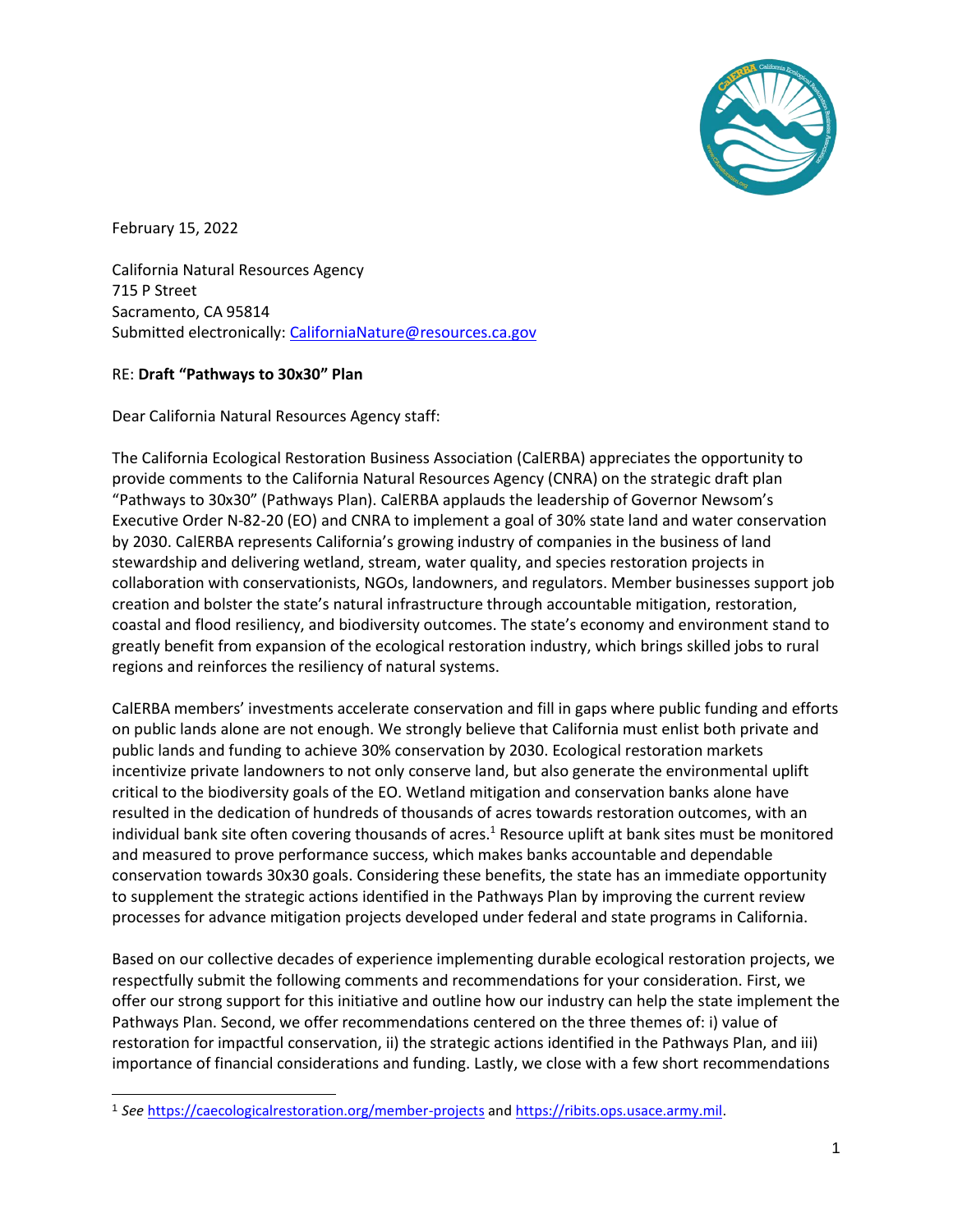

February 15, 2022

l

California Natural Resources Agency 715 P Street Sacramento, CA 95814 Submitted electronically: [CaliforniaNature@resources.ca.gov](mailto:CaliforniaNature@resources.ca.gov)

### RE: **Draft "Pathways to 30x30" Plan**

Dear California Natural Resources Agency staff:

The California Ecological Restoration Business Association (CalERBA) appreciates the opportunity to provide comments to the California Natural Resources Agency (CNRA) on the strategic draft plan "Pathways to 30x30" (Pathways Plan). CalERBA applauds the leadership of Governor Newsom's Executive Order N-82-20 (EO) and CNRA to implement a goal of 30% state land and water conservation by 2030. CalERBA represents California's growing industry of companies in the business of land stewardship and delivering wetland, stream, water quality, and species restoration projects in collaboration with conservationists, NGOs, landowners, and regulators. Member businesses support job creation and bolster the state's natural infrastructure through accountable mitigation, restoration, coastal and flood resiliency, and biodiversity outcomes. The state's economy and environment stand to greatly benefit from expansion of the ecological restoration industry, which brings skilled jobs to rural regions and reinforces the resiliency of natural systems.

CalERBA members' investments accelerate conservation and fill in gaps where public funding and efforts on public lands alone are not enough. We strongly believe that California must enlist both private and public lands and funding to achieve 30% conservation by 2030. Ecological restoration markets incentivize private landowners to not only conserve land, but also generate the environmental uplift critical to the biodiversity goals of the EO. Wetland mitigation and conservation banks alone have resulted in the dedication of hundreds of thousands of acres towards restoration outcomes, with an individual bank site often covering thousands of acres.<sup>1</sup> Resource uplift at bank sites must be monitored and measured to prove performance success, which makes banks accountable and dependable conservation towards 30x30 goals. Considering these benefits, the state has an immediate opportunity to supplement the strategic actions identified in the Pathways Plan by improving the current review processes for advance mitigation projects developed under federal and state programs in California.

Based on our collective decades of experience implementing durable ecological restoration projects, we respectfully submit the following comments and recommendations for your consideration. First, we offer our strong support for this initiative and outline how our industry can help the state implement the Pathways Plan. Second, we offer recommendations centered on the three themes of: i) value of restoration for impactful conservation, ii) the strategic actions identified in the Pathways Plan, and iii) importance of financial considerations and funding. Lastly, we close with a few short recommendations

<sup>1</sup> *See* <https://caecologicalrestoration.org/member-projects> an[d https://ribits.ops.usace.army.mil.](https://ribits.ops.usace.army.mil/)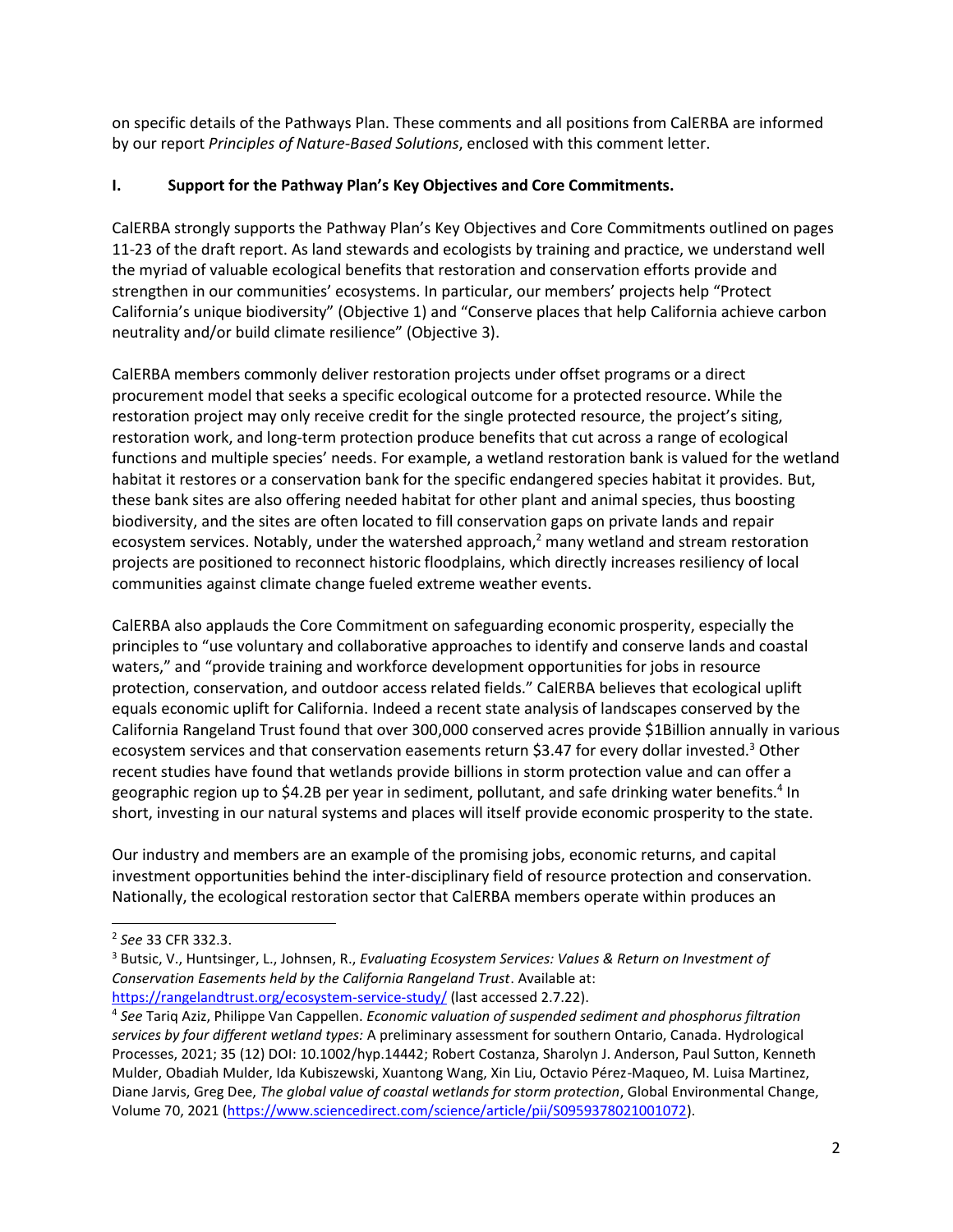on specific details of the Pathways Plan. These comments and all positions from CalERBA are informed by our report *Principles of Nature-Based Solutions*, enclosed with this comment letter.

## **I. Support for the Pathway Plan's Key Objectives and Core Commitments.**

CalERBA strongly supports the Pathway Plan's Key Objectives and Core Commitments outlined on pages 11-23 of the draft report. As land stewards and ecologists by training and practice, we understand well the myriad of valuable ecological benefits that restoration and conservation efforts provide and strengthen in our communities' ecosystems. In particular, our members' projects help "Protect California's unique biodiversity" (Objective 1) and "Conserve places that help California achieve carbon neutrality and/or build climate resilience" (Objective 3).

CalERBA members commonly deliver restoration projects under offset programs or a direct procurement model that seeks a specific ecological outcome for a protected resource. While the restoration project may only receive credit for the single protected resource, the project's siting, restoration work, and long-term protection produce benefits that cut across a range of ecological functions and multiple species' needs. For example, a wetland restoration bank is valued for the wetland habitat it restores or a conservation bank for the specific endangered species habitat it provides. But, these bank sites are also offering needed habitat for other plant and animal species, thus boosting biodiversity, and the sites are often located to fill conservation gaps on private lands and repair ecosystem services. Notably, under the watershed approach, $<sup>2</sup>$  many wetland and stream restoration</sup> projects are positioned to reconnect historic floodplains, which directly increases resiliency of local communities against climate change fueled extreme weather events.

CalERBA also applauds the Core Commitment on safeguarding economic prosperity, especially the principles to "use voluntary and collaborative approaches to identify and conserve lands and coastal waters," and "provide training and workforce development opportunities for jobs in resource protection, conservation, and outdoor access related fields." CalERBA believes that ecological uplift equals economic uplift for California. Indeed a recent state analysis of landscapes conserved by the California Rangeland Trust found that over 300,000 conserved acres provide \$1Billion annually in various ecosystem services and that conservation easements return \$3.47 for every dollar invested.<sup>3</sup> Other recent studies have found that wetlands provide billions in storm protection value and can offer a geographic region up to \$4.2B per year in sediment, pollutant, and safe drinking water benefits.<sup>4</sup> In short, investing in our natural systems and places will itself provide economic prosperity to the state.

Our industry and members are an example of the promising jobs, economic returns, and capital investment opportunities behind the inter-disciplinary field of resource protection and conservation. Nationally, the ecological restoration sector that CalERBA members operate within produces an

l

<sup>2</sup> *See* 33 CFR 332.3.

<sup>3</sup> Butsic, V., Huntsinger, L., Johnsen, R., *Evaluating Ecosystem Services: Values & Return on Investment of Conservation Easements held by the California Rangeland Trust*. Available at: <https://rangelandtrust.org/ecosystem-service-study/> (last accessed 2.7.22).

<sup>4</sup> *See* Tariq Aziz, Philippe Van Cappellen. *Economic valuation of suspended sediment and phosphorus filtration services by four different wetland types:* A preliminary assessment for southern Ontario, Canada. Hydrological Processes, 2021; 35 (12) DOI: 10.1002/hyp.14442; Robert Costanza, Sharolyn J. Anderson, Paul Sutton, Kenneth Mulder, Obadiah Mulder, Ida Kubiszewski, Xuantong Wang, Xin Liu, Octavio Pérez-Maqueo, M. Luisa Martinez, Diane Jarvis, Greg Dee, *The global value of coastal wetlands for storm protection*, Global Environmental Change, Volume 70, 2021 [\(https://www.sciencedirect.com/science/article/pii/S0959378021001072\)](https://www.sciencedirect.com/science/article/pii/S0959378021001072).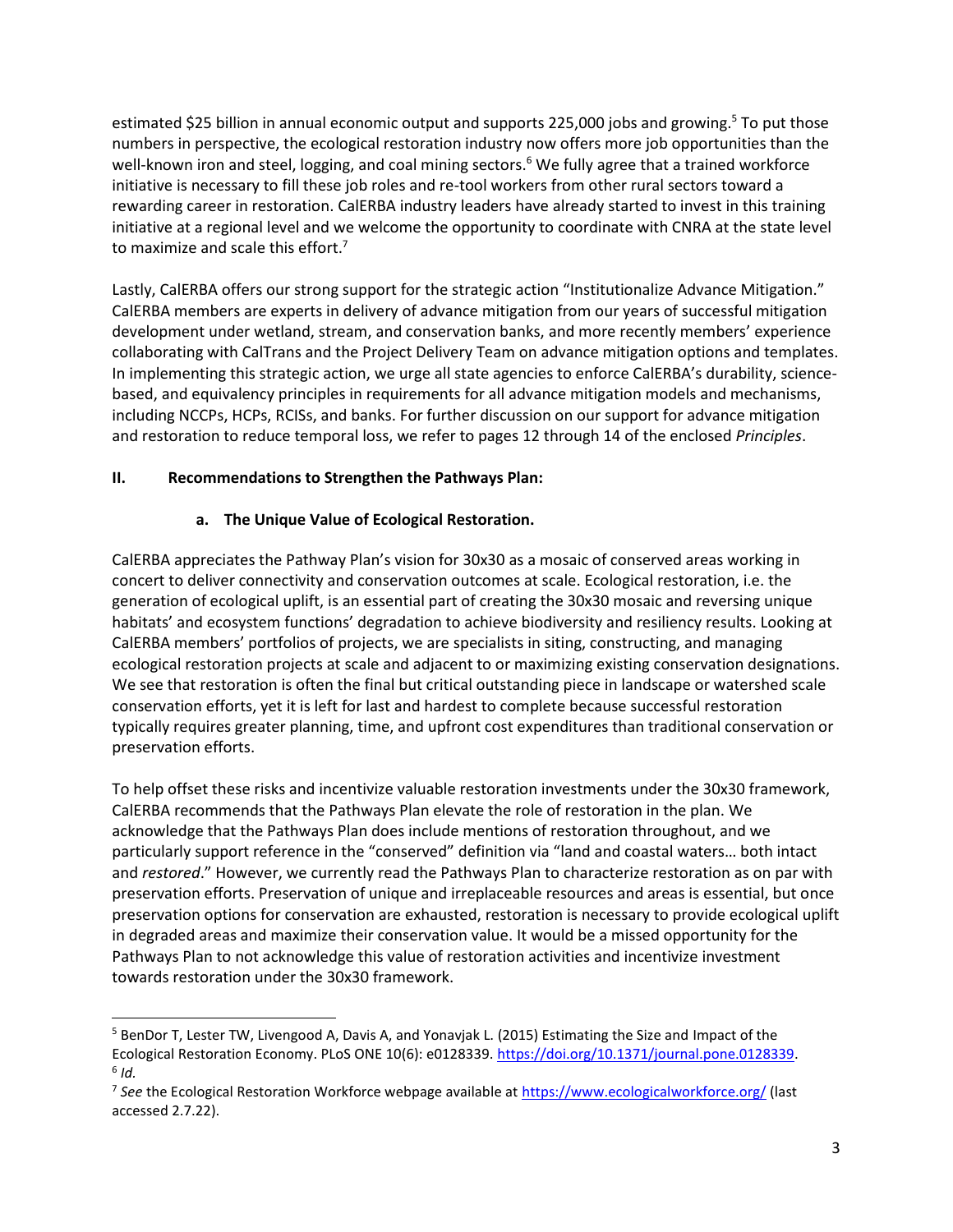estimated \$25 billion in annual economic output and supports 225,000 jobs and growing.<sup>5</sup> To put those numbers in perspective, the ecological restoration industry now offers more job opportunities than the well-known iron and steel, logging, and coal mining sectors.<sup>6</sup> We fully agree that a trained workforce initiative is necessary to fill these job roles and re-tool workers from other rural sectors toward a rewarding career in restoration. CalERBA industry leaders have already started to invest in this training initiative at a regional level and we welcome the opportunity to coordinate with CNRA at the state level to maximize and scale this effort.<sup>7</sup>

Lastly, CalERBA offers our strong support for the strategic action "Institutionalize Advance Mitigation." CalERBA members are experts in delivery of advance mitigation from our years of successful mitigation development under wetland, stream, and conservation banks, and more recently members' experience collaborating with CalTrans and the Project Delivery Team on advance mitigation options and templates. In implementing this strategic action, we urge all state agencies to enforce CalERBA's durability, sciencebased, and equivalency principles in requirements for all advance mitigation models and mechanisms, including NCCPs, HCPs, RCISs, and banks. For further discussion on our support for advance mitigation and restoration to reduce temporal loss, we refer to pages 12 through 14 of the enclosed *Principles*.

## **II. Recommendations to Strengthen the Pathways Plan:**

l

### **a. The Unique Value of Ecological Restoration.**

CalERBA appreciates the Pathway Plan's vision for 30x30 as a mosaic of conserved areas working in concert to deliver connectivity and conservation outcomes at scale. Ecological restoration, i.e. the generation of ecological uplift, is an essential part of creating the 30x30 mosaic and reversing unique habitats' and ecosystem functions' degradation to achieve biodiversity and resiliency results. Looking at CalERBA members' portfolios of projects, we are specialists in siting, constructing, and managing ecological restoration projects at scale and adjacent to or maximizing existing conservation designations. We see that restoration is often the final but critical outstanding piece in landscape or watershed scale conservation efforts, yet it is left for last and hardest to complete because successful restoration typically requires greater planning, time, and upfront cost expenditures than traditional conservation or preservation efforts.

To help offset these risks and incentivize valuable restoration investments under the 30x30 framework, CalERBA recommends that the Pathways Plan elevate the role of restoration in the plan. We acknowledge that the Pathways Plan does include mentions of restoration throughout, and we particularly support reference in the "conserved" definition via "land and coastal waters… both intact and *restored*." However, we currently read the Pathways Plan to characterize restoration as on par with preservation efforts. Preservation of unique and irreplaceable resources and areas is essential, but once preservation options for conservation are exhausted, restoration is necessary to provide ecological uplift in degraded areas and maximize their conservation value. It would be a missed opportunity for the Pathways Plan to not acknowledge this value of restoration activities and incentivize investment towards restoration under the 30x30 framework.

<sup>5</sup> BenDor T, Lester TW, Livengood A, Davis A, and Yonavjak L. (2015) Estimating the Size and Impact of the Ecological Restoration Economy. PLoS ONE 10(6): e0128339[. https://doi.org/10.1371/journal.pone.0128339.](https://doi.org/10.1371/journal.pone.0128339) 6 *Id.* 

<sup>&</sup>lt;sup>7</sup> See the Ecological Restoration Workforce webpage available at<https://www.ecologicalworkforce.org/> (last accessed 2.7.22).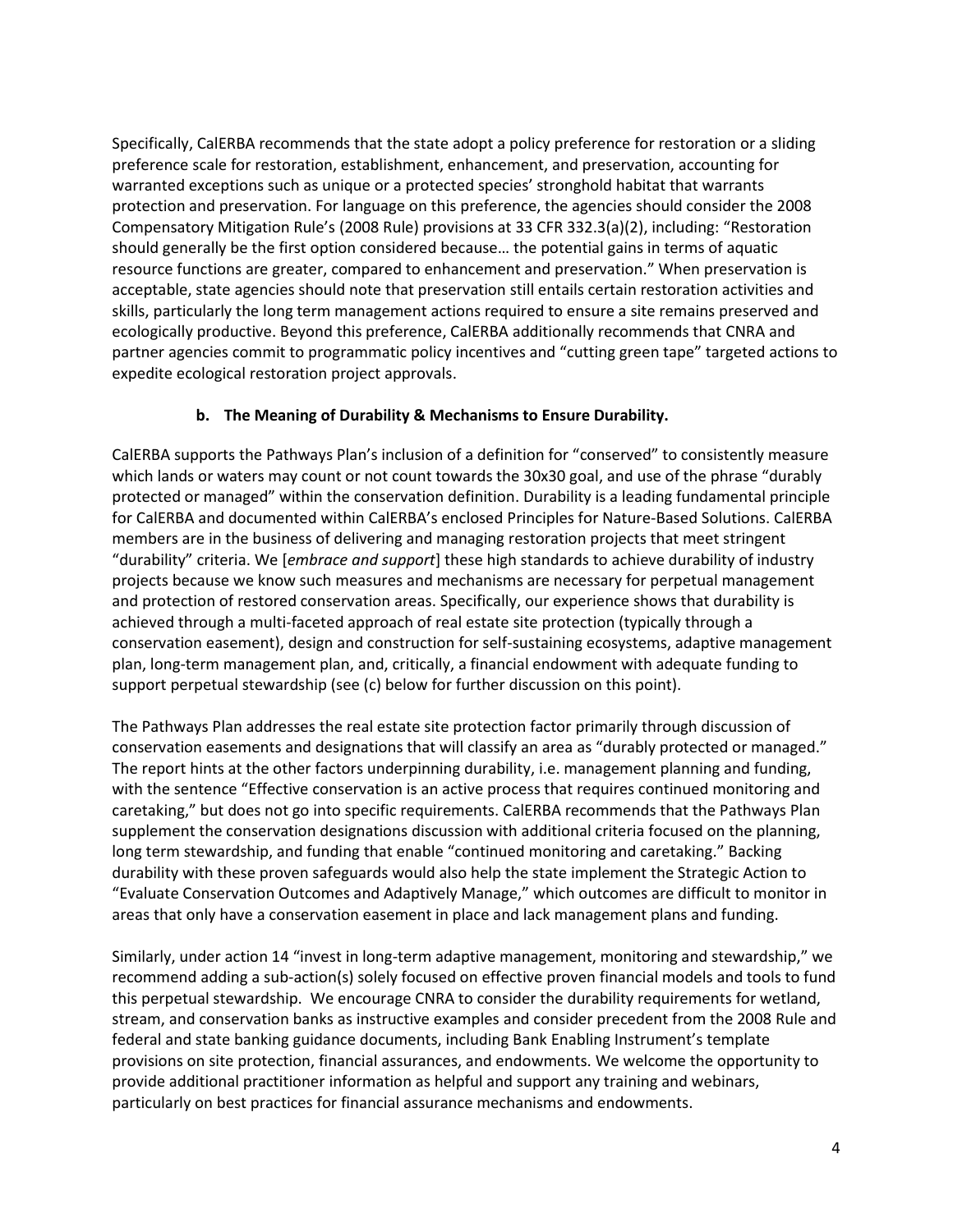Specifically, CalERBA recommends that the state adopt a policy preference for restoration or a sliding preference scale for restoration, establishment, enhancement, and preservation, accounting for warranted exceptions such as unique or a protected species' stronghold habitat that warrants protection and preservation. For language on this preference, the agencies should consider the 2008 Compensatory Mitigation Rule's (2008 Rule) provisions at 33 CFR 332.3(a)(2), including: "Restoration should generally be the first option considered because… the potential gains in terms of aquatic resource functions are greater, compared to enhancement and preservation." When preservation is acceptable, state agencies should note that preservation still entails certain restoration activities and skills, particularly the long term management actions required to ensure a site remains preserved and ecologically productive. Beyond this preference, CalERBA additionally recommends that CNRA and partner agencies commit to programmatic policy incentives and "cutting green tape" targeted actions to expedite ecological restoration project approvals.

### **b. The Meaning of Durability & Mechanisms to Ensure Durability.**

CalERBA supports the Pathways Plan's inclusion of a definition for "conserved" to consistently measure which lands or waters may count or not count towards the 30x30 goal, and use of the phrase "durably protected or managed" within the conservation definition. Durability is a leading fundamental principle for CalERBA and documented within CalERBA's enclosed Principles for Nature-Based Solutions. CalERBA members are in the business of delivering and managing restoration projects that meet stringent "durability" criteria. We [*embrace and support*] these high standards to achieve durability of industry projects because we know such measures and mechanisms are necessary for perpetual management and protection of restored conservation areas. Specifically, our experience shows that durability is achieved through a multi-faceted approach of real estate site protection (typically through a conservation easement), design and construction for self-sustaining ecosystems, adaptive management plan, long-term management plan, and, critically, a financial endowment with adequate funding to support perpetual stewardship (see (c) below for further discussion on this point).

The Pathways Plan addresses the real estate site protection factor primarily through discussion of conservation easements and designations that will classify an area as "durably protected or managed." The report hints at the other factors underpinning durability, i.e. management planning and funding, with the sentence "Effective conservation is an active process that requires continued monitoring and caretaking," but does not go into specific requirements. CalERBA recommends that the Pathways Plan supplement the conservation designations discussion with additional criteria focused on the planning, long term stewardship, and funding that enable "continued monitoring and caretaking." Backing durability with these proven safeguards would also help the state implement the Strategic Action to "Evaluate Conservation Outcomes and Adaptively Manage," which outcomes are difficult to monitor in areas that only have a conservation easement in place and lack management plans and funding.

Similarly, under action 14 "invest in long-term adaptive management, monitoring and stewardship," we recommend adding a sub-action(s) solely focused on effective proven financial models and tools to fund this perpetual stewardship. We encourage CNRA to consider the durability requirements for wetland, stream, and conservation banks as instructive examples and consider precedent from the 2008 Rule and federal and state banking guidance documents, including Bank Enabling Instrument's template provisions on site protection, financial assurances, and endowments. We welcome the opportunity to provide additional practitioner information as helpful and support any training and webinars, particularly on best practices for financial assurance mechanisms and endowments.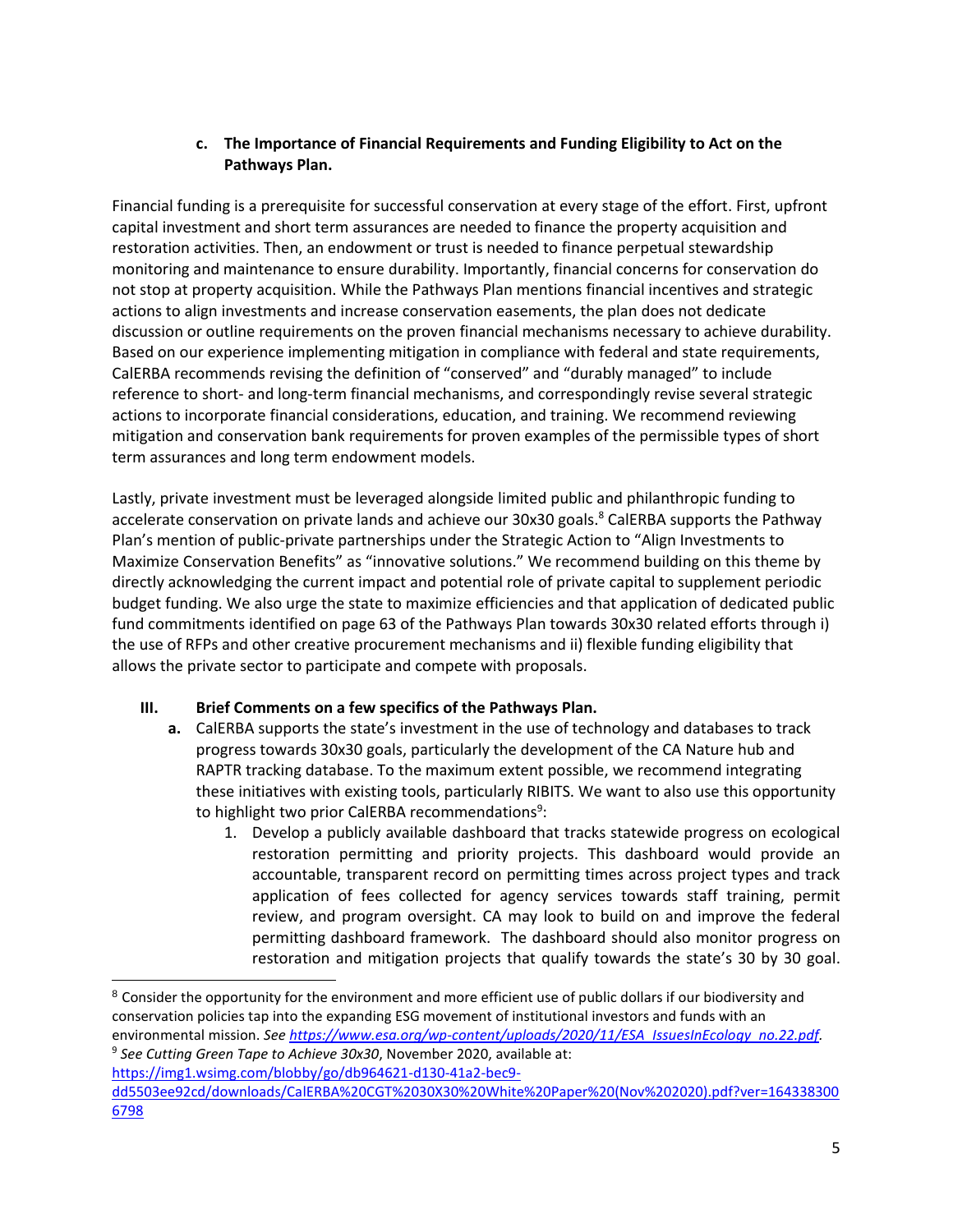## **c. The Importance of Financial Requirements and Funding Eligibility to Act on the Pathways Plan.**

Financial funding is a prerequisite for successful conservation at every stage of the effort. First, upfront capital investment and short term assurances are needed to finance the property acquisition and restoration activities. Then, an endowment or trust is needed to finance perpetual stewardship monitoring and maintenance to ensure durability. Importantly, financial concerns for conservation do not stop at property acquisition. While the Pathways Plan mentions financial incentives and strategic actions to align investments and increase conservation easements, the plan does not dedicate discussion or outline requirements on the proven financial mechanisms necessary to achieve durability. Based on our experience implementing mitigation in compliance with federal and state requirements, CalERBA recommends revising the definition of "conserved" and "durably managed" to include reference to short- and long-term financial mechanisms, and correspondingly revise several strategic actions to incorporate financial considerations, education, and training. We recommend reviewing mitigation and conservation bank requirements for proven examples of the permissible types of short term assurances and long term endowment models.

Lastly, private investment must be leveraged alongside limited public and philanthropic funding to accelerate conservation on private lands and achieve our 30x30 goals.<sup>8</sup> CalERBA supports the Pathway Plan's mention of public-private partnerships under the Strategic Action to "Align Investments to Maximize Conservation Benefits" as "innovative solutions." We recommend building on this theme by directly acknowledging the current impact and potential role of private capital to supplement periodic budget funding. We also urge the state to maximize efficiencies and that application of dedicated public fund commitments identified on page 63 of the Pathways Plan towards 30x30 related efforts through i) the use of RFPs and other creative procurement mechanisms and ii) flexible funding eligibility that allows the private sector to participate and compete with proposals.

## **III. Brief Comments on a few specifics of the Pathways Plan.**

- **a.** CalERBA supports the state's investment in the use of technology and databases to track progress towards 30x30 goals, particularly the development of the CA Nature hub and RAPTR tracking database. To the maximum extent possible, we recommend integrating these initiatives with existing tools, particularly RIBITS. We want to also use this opportunity to highlight two prior CalERBA recommendations<sup>9</sup>:
	- 1. Develop a publicly available dashboard that tracks statewide progress on ecological restoration permitting and priority projects. This dashboard would provide an accountable, transparent record on permitting times across project types and track application of fees collected for agency services towards staff training, permit review, and program oversight. CA may look to build on and improve the federal permitting dashboard framework. The dashboard should also monitor progress on restoration and mitigation projects that qualify towards the state's 30 by 30 goal.

```
9
See Cutting Green Tape to Achieve 30x30, November 2020, available at: 
https://img1.wsimg.com/blobby/go/db964621-d130-41a2-bec9-
```
l

<sup>&</sup>lt;sup>8</sup> Consider the opportunity for the environment and more efficient use of public dollars if our biodiversity and conservation policies tap into the expanding ESG movement of institutional investors and funds with an environmental mission. *See [https://www.esa.org/wp-content/uploads/2020/11/ESA\\_IssuesInEcology\\_no.22.pdf.](https://www.esa.org/wp-content/uploads/2020/11/ESA_IssuesInEcology_no.22.pdf)* 

[dd5503ee92cd/downloads/CalERBA%20CGT%2030X30%20White%20Paper%20\(Nov%202020\).pdf?ver=164338300](https://img1.wsimg.com/blobby/go/db964621-d130-41a2-bec9-dd5503ee92cd/downloads/CalERBA%20CGT%2030X30%20White%20Paper%20(Nov%202020).pdf?ver=1643383006798) [6798](https://img1.wsimg.com/blobby/go/db964621-d130-41a2-bec9-dd5503ee92cd/downloads/CalERBA%20CGT%2030X30%20White%20Paper%20(Nov%202020).pdf?ver=1643383006798)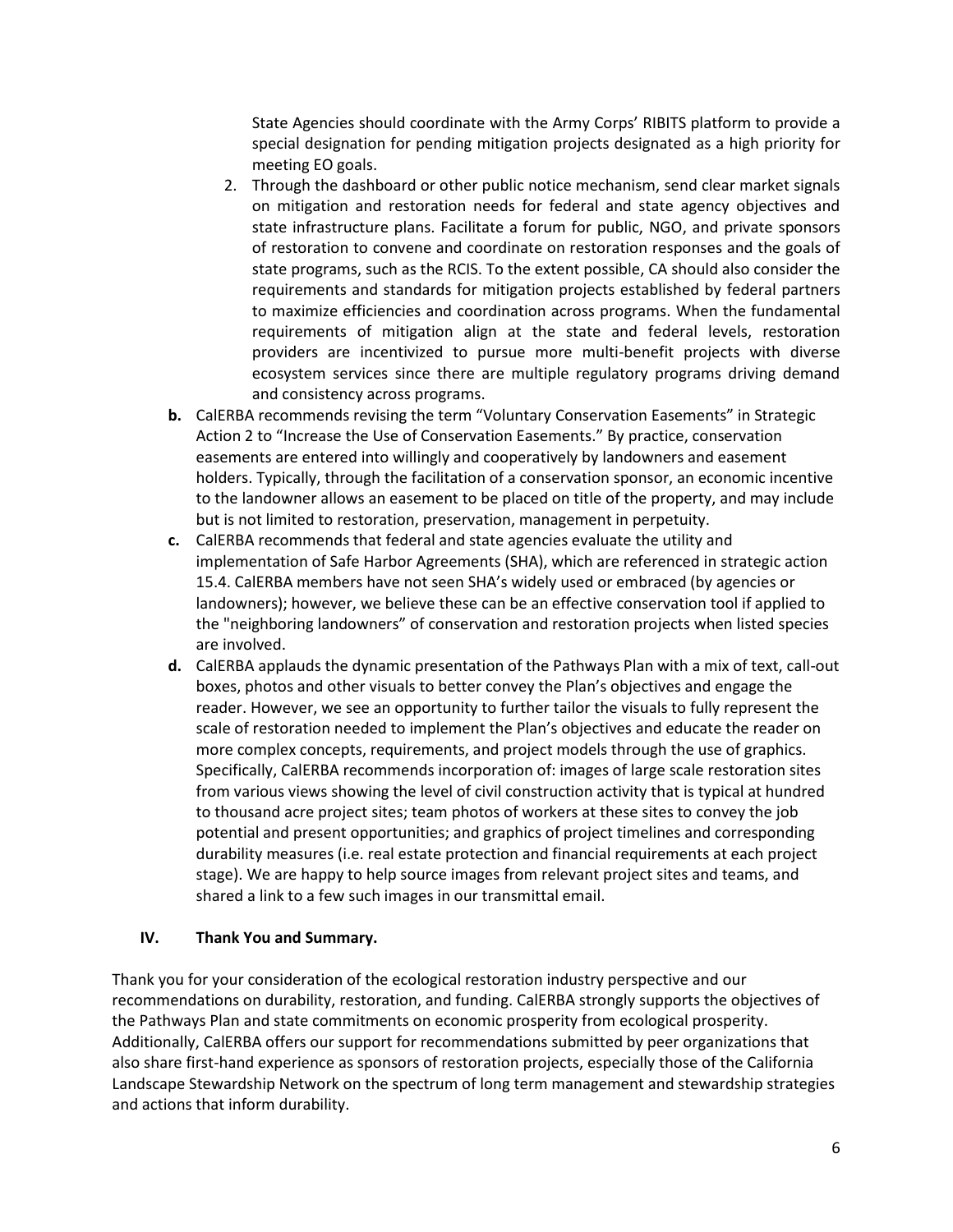State Agencies should coordinate with the Army Corps' RIBITS platform to provide a special designation for pending mitigation projects designated as a high priority for meeting EO goals.

- 2. Through the dashboard or other public notice mechanism, send clear market signals on mitigation and restoration needs for federal and state agency objectives and state infrastructure plans. Facilitate a forum for public, NGO, and private sponsors of restoration to convene and coordinate on restoration responses and the goals of state programs, such as the RCIS. To the extent possible, CA should also consider the requirements and standards for mitigation projects established by federal partners to maximize efficiencies and coordination across programs. When the fundamental requirements of mitigation align at the state and federal levels, restoration providers are incentivized to pursue more multi-benefit projects with diverse ecosystem services since there are multiple regulatory programs driving demand and consistency across programs.
- **b.** CalERBA recommends revising the term "Voluntary Conservation Easements" in Strategic Action 2 to "Increase the Use of Conservation Easements." By practice, conservation easements are entered into willingly and cooperatively by landowners and easement holders. Typically, through the facilitation of a conservation sponsor, an economic incentive to the landowner allows an easement to be placed on title of the property, and may include but is not limited to restoration, preservation, management in perpetuity.
- **c.** CalERBA recommends that federal and state agencies evaluate the utility and implementation of Safe Harbor Agreements (SHA), which are referenced in strategic action 15.4. CalERBA members have not seen SHA's widely used or embraced (by agencies or landowners); however, we believe these can be an effective conservation tool if applied to the "neighboring landowners" of conservation and restoration projects when listed species are involved.
- **d.** CalERBA applauds the dynamic presentation of the Pathways Plan with a mix of text, call-out boxes, photos and other visuals to better convey the Plan's objectives and engage the reader. However, we see an opportunity to further tailor the visuals to fully represent the scale of restoration needed to implement the Plan's objectives and educate the reader on more complex concepts, requirements, and project models through the use of graphics. Specifically, CalERBA recommends incorporation of: images of large scale restoration sites from various views showing the level of civil construction activity that is typical at hundred to thousand acre project sites; team photos of workers at these sites to convey the job potential and present opportunities; and graphics of project timelines and corresponding durability measures (i.e. real estate protection and financial requirements at each project stage). We are happy to help source images from relevant project sites and teams, and shared a link to a few such images in our transmittal email.

#### **IV. Thank You and Summary.**

Thank you for your consideration of the ecological restoration industry perspective and our recommendations on durability, restoration, and funding. CalERBA strongly supports the objectives of the Pathways Plan and state commitments on economic prosperity from ecological prosperity. Additionally, CalERBA offers our support for recommendations submitted by peer organizations that also share first-hand experience as sponsors of restoration projects, especially those of the California Landscape Stewardship Network on the spectrum of long term management and stewardship strategies and actions that inform durability.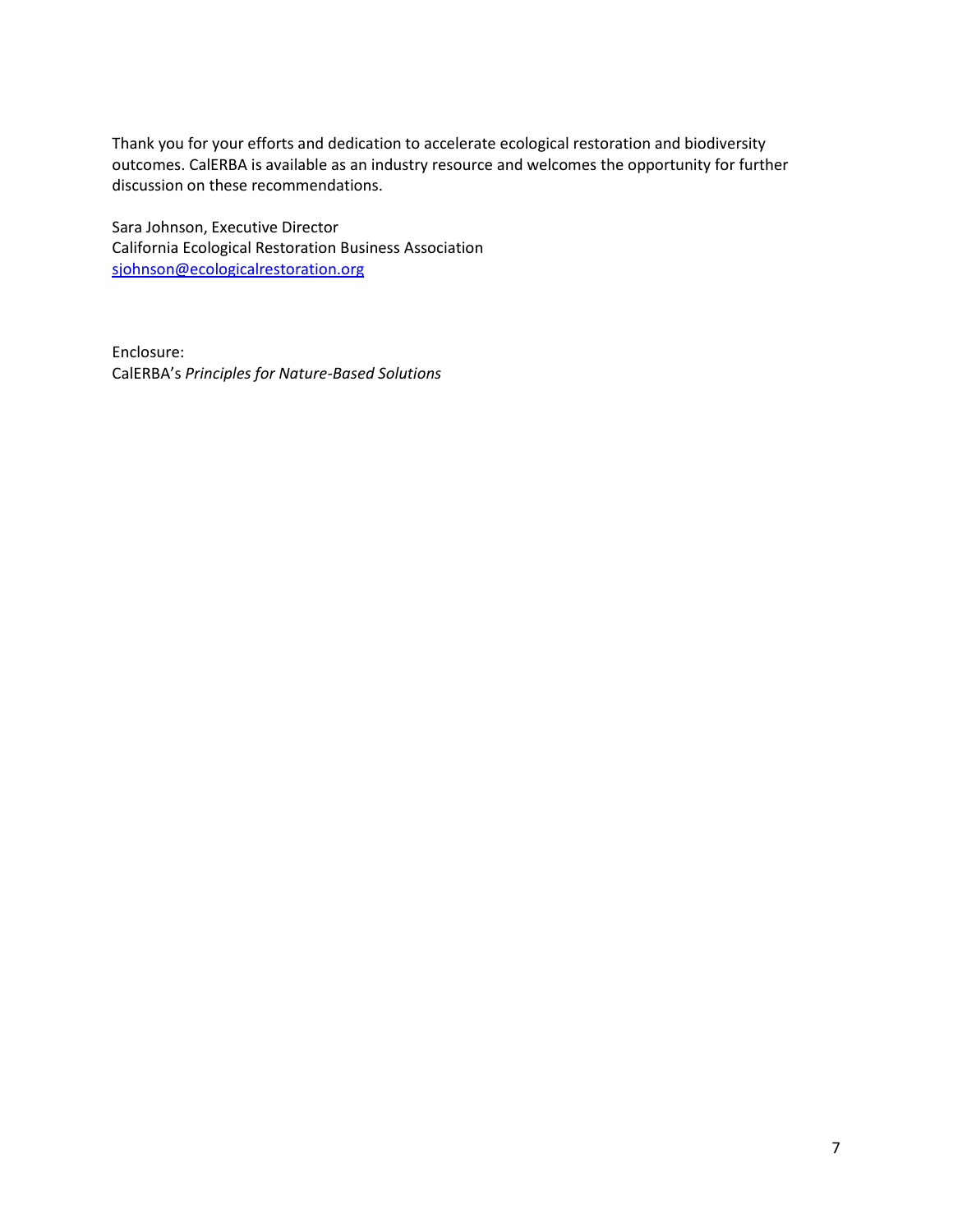Thank you for your efforts and dedication to accelerate ecological restoration and biodiversity outcomes. CalERBA is available as an industry resource and welcomes the opportunity for further discussion on these recommendations.

Sara Johnson, Executive Director California Ecological Restoration Business Association [sjohnson@ecologicalrestoration.org](mailto:sjohnson@ecologicalrestoration.org)

Enclosure: CalERBA's *Principles for Nature-Based Solutions*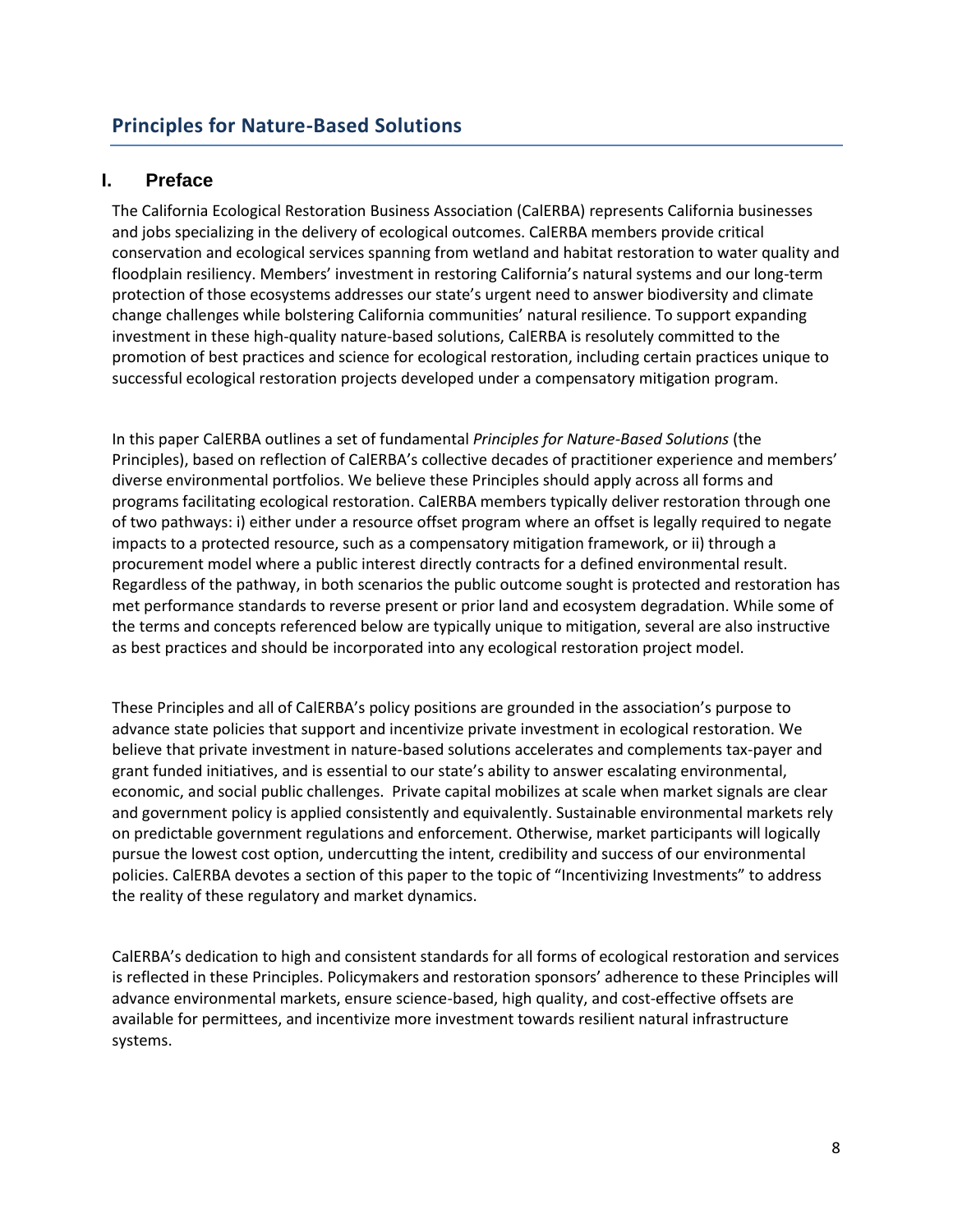# **I. Preface**

The California Ecological Restoration Business Association (CalERBA) represents California businesses and jobs specializing in the delivery of ecological outcomes. CalERBA members provide critical conservation and ecological services spanning from wetland and habitat restoration to water quality and floodplain resiliency. Members' investment in restoring California's natural systems and our long-term protection of those ecosystems addresses our state's urgent need to answer biodiversity and climate change challenges while bolstering California communities' natural resilience. To support expanding investment in these high-quality nature-based solutions, CalERBA is resolutely committed to the promotion of best practices and science for ecological restoration, including certain practices unique to successful ecological restoration projects developed under a compensatory mitigation program.

In this paper CalERBA outlines a set of fundamental *Principles for Nature-Based Solutions* (the Principles), based on reflection of CalERBA's collective decades of practitioner experience and members' diverse environmental portfolios. We believe these Principles should apply across all forms and programs facilitating ecological restoration. CalERBA members typically deliver restoration through one of two pathways: i) either under a resource offset program where an offset is legally required to negate impacts to a protected resource, such as a compensatory mitigation framework, or ii) through a procurement model where a public interest directly contracts for a defined environmental result. Regardless of the pathway, in both scenarios the public outcome sought is protected and restoration has met performance standards to reverse present or prior land and ecosystem degradation. While some of the terms and concepts referenced below are typically unique to mitigation, several are also instructive as best practices and should be incorporated into any ecological restoration project model.

These Principles and all of CalERBA's policy positions are grounded in the association's purpose to advance state policies that support and incentivize private investment in ecological restoration. We believe that private investment in nature-based solutions accelerates and complements tax-payer and grant funded initiatives, and is essential to our state's ability to answer escalating environmental, economic, and social public challenges. Private capital mobilizes at scale when market signals are clear and government policy is applied consistently and equivalently. Sustainable environmental markets rely on predictable government regulations and enforcement. Otherwise, market participants will logically pursue the lowest cost option, undercutting the intent, credibility and success of our environmental policies. CalERBA devotes a section of this paper to the topic of "Incentivizing Investments" to address the reality of these regulatory and market dynamics.

CalERBA's dedication to high and consistent standards for all forms of ecological restoration and services is reflected in these Principles. Policymakers and restoration sponsors' adherence to these Principles will advance environmental markets, ensure science-based, high quality, and cost-effective offsets are available for permittees, and incentivize more investment towards resilient natural infrastructure systems.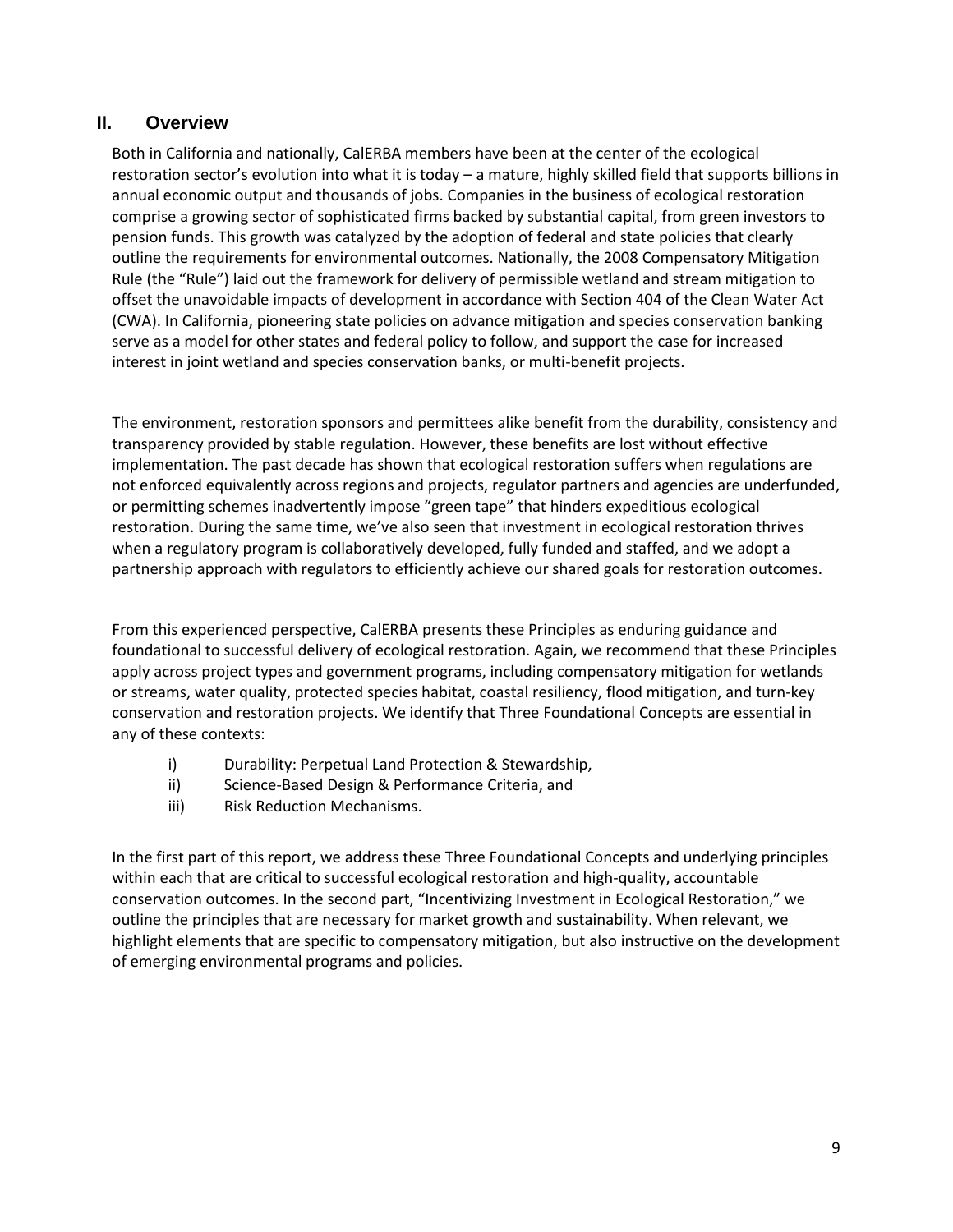## **II. Overview**

Both in California and nationally, CalERBA members have been at the center of the ecological restoration sector's evolution into what it is today – a mature, highly skilled field that supports billions in annual economic output and thousands of jobs. Companies in the business of ecological restoration comprise a growing sector of sophisticated firms backed by substantial capital, from green investors to pension funds. This growth was catalyzed by the adoption of federal and state policies that clearly outline the requirements for environmental outcomes. Nationally, the 2008 Compensatory Mitigation Rule (the "Rule") laid out the framework for delivery of permissible wetland and stream mitigation to offset the unavoidable impacts of development in accordance with Section 404 of the Clean Water Act (CWA). In California, pioneering state policies on advance mitigation and species conservation banking serve as a model for other states and federal policy to follow, and support the case for increased interest in joint wetland and species conservation banks, or multi-benefit projects.

The environment, restoration sponsors and permittees alike benefit from the durability, consistency and transparency provided by stable regulation. However, these benefits are lost without effective implementation. The past decade has shown that ecological restoration suffers when regulations are not enforced equivalently across regions and projects, regulator partners and agencies are underfunded, or permitting schemes inadvertently impose "green tape" that hinders expeditious ecological restoration. During the same time, we've also seen that investment in ecological restoration thrives when a regulatory program is collaboratively developed, fully funded and staffed, and we adopt a partnership approach with regulators to efficiently achieve our shared goals for restoration outcomes.

From this experienced perspective, CalERBA presents these Principles as enduring guidance and foundational to successful delivery of ecological restoration. Again, we recommend that these Principles apply across project types and government programs, including compensatory mitigation for wetlands or streams, water quality, protected species habitat, coastal resiliency, flood mitigation, and turn-key conservation and restoration projects. We identify that Three Foundational Concepts are essential in any of these contexts:

- i) Durability: Perpetual Land Protection & Stewardship,
- ii) Science-Based Design & Performance Criteria, and
- iii) Risk Reduction Mechanisms.

In the first part of this report, we address these Three Foundational Concepts and underlying principles within each that are critical to successful ecological restoration and high-quality, accountable conservation outcomes. In the second part, "Incentivizing Investment in Ecological Restoration," we outline the principles that are necessary for market growth and sustainability. When relevant, we highlight elements that are specific to compensatory mitigation, but also instructive on the development of emerging environmental programs and policies.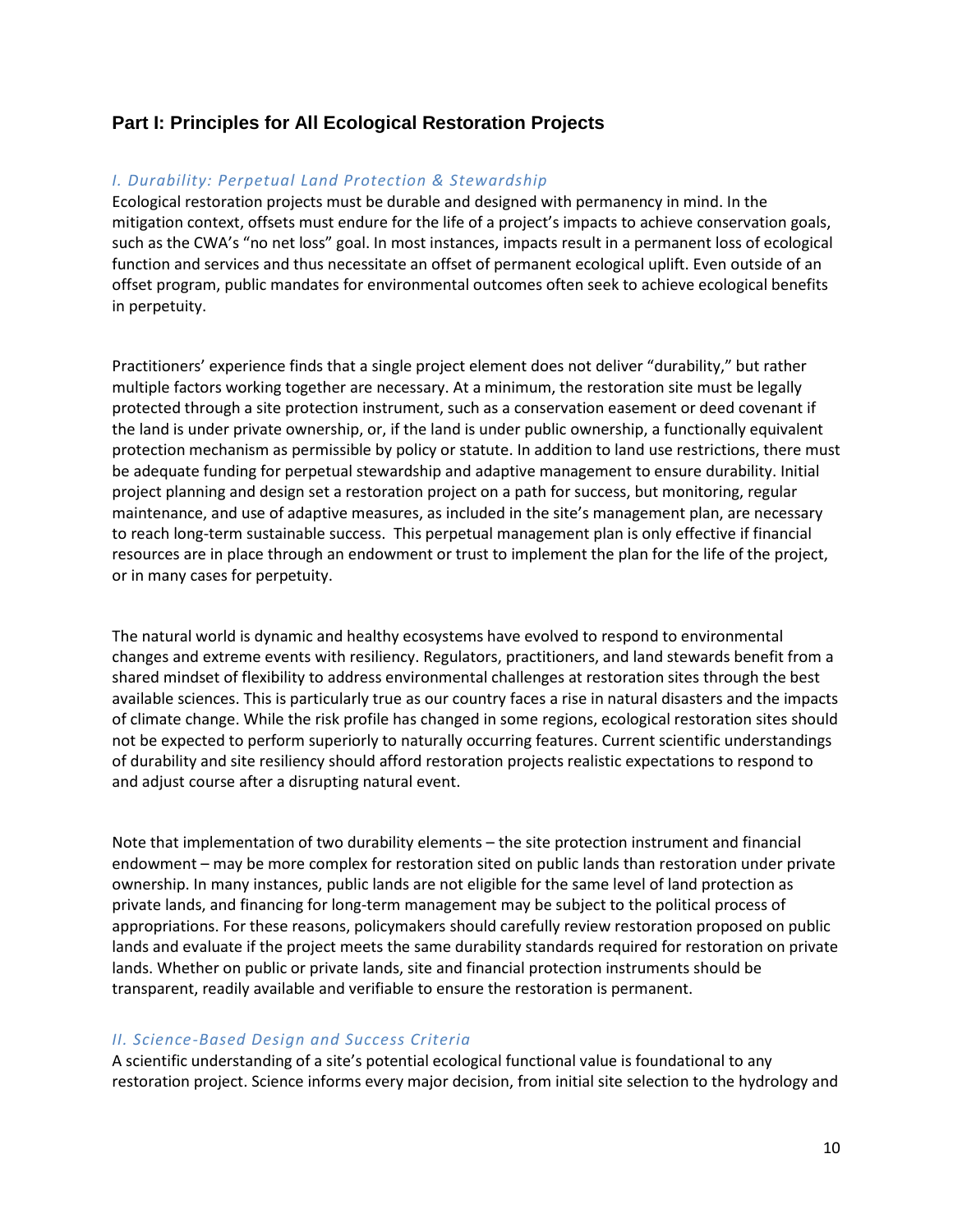# **Part I: Principles for All Ecological Restoration Projects**

### *I. Durability: Perpetual Land Protection & Stewardship*

Ecological restoration projects must be durable and designed with permanency in mind. In the mitigation context, offsets must endure for the life of a project's impacts to achieve conservation goals, such as the CWA's "no net loss" goal. In most instances, impacts result in a permanent loss of ecological function and services and thus necessitate an offset of permanent ecological uplift. Even outside of an offset program, public mandates for environmental outcomes often seek to achieve ecological benefits in perpetuity.

Practitioners' experience finds that a single project element does not deliver "durability," but rather multiple factors working together are necessary. At a minimum, the restoration site must be legally protected through a site protection instrument, such as a conservation easement or deed covenant if the land is under private ownership, or, if the land is under public ownership, a functionally equivalent protection mechanism as permissible by policy or statute. In addition to land use restrictions, there must be adequate funding for perpetual stewardship and adaptive management to ensure durability. Initial project planning and design set a restoration project on a path for success, but monitoring, regular maintenance, and use of adaptive measures, as included in the site's management plan, are necessary to reach long-term sustainable success. This perpetual management plan is only effective if financial resources are in place through an endowment or trust to implement the plan for the life of the project, or in many cases for perpetuity.

The natural world is dynamic and healthy ecosystems have evolved to respond to environmental changes and extreme events with resiliency. Regulators, practitioners, and land stewards benefit from a shared mindset of flexibility to address environmental challenges at restoration sites through the best available sciences. This is particularly true as our country faces a rise in natural disasters and the impacts of climate change. While the risk profile has changed in some regions, ecological restoration sites should not be expected to perform superiorly to naturally occurring features. Current scientific understandings of durability and site resiliency should afford restoration projects realistic expectations to respond to and adjust course after a disrupting natural event.

Note that implementation of two durability elements – the site protection instrument and financial endowment – may be more complex for restoration sited on public lands than restoration under private ownership. In many instances, public lands are not eligible for the same level of land protection as private lands, and financing for long-term management may be subject to the political process of appropriations. For these reasons, policymakers should carefully review restoration proposed on public lands and evaluate if the project meets the same durability standards required for restoration on private lands. Whether on public or private lands, site and financial protection instruments should be transparent, readily available and verifiable to ensure the restoration is permanent.

## *II. Science-Based Design and Success Criteria*

A scientific understanding of a site's potential ecological functional value is foundational to any restoration project. Science informs every major decision, from initial site selection to the hydrology and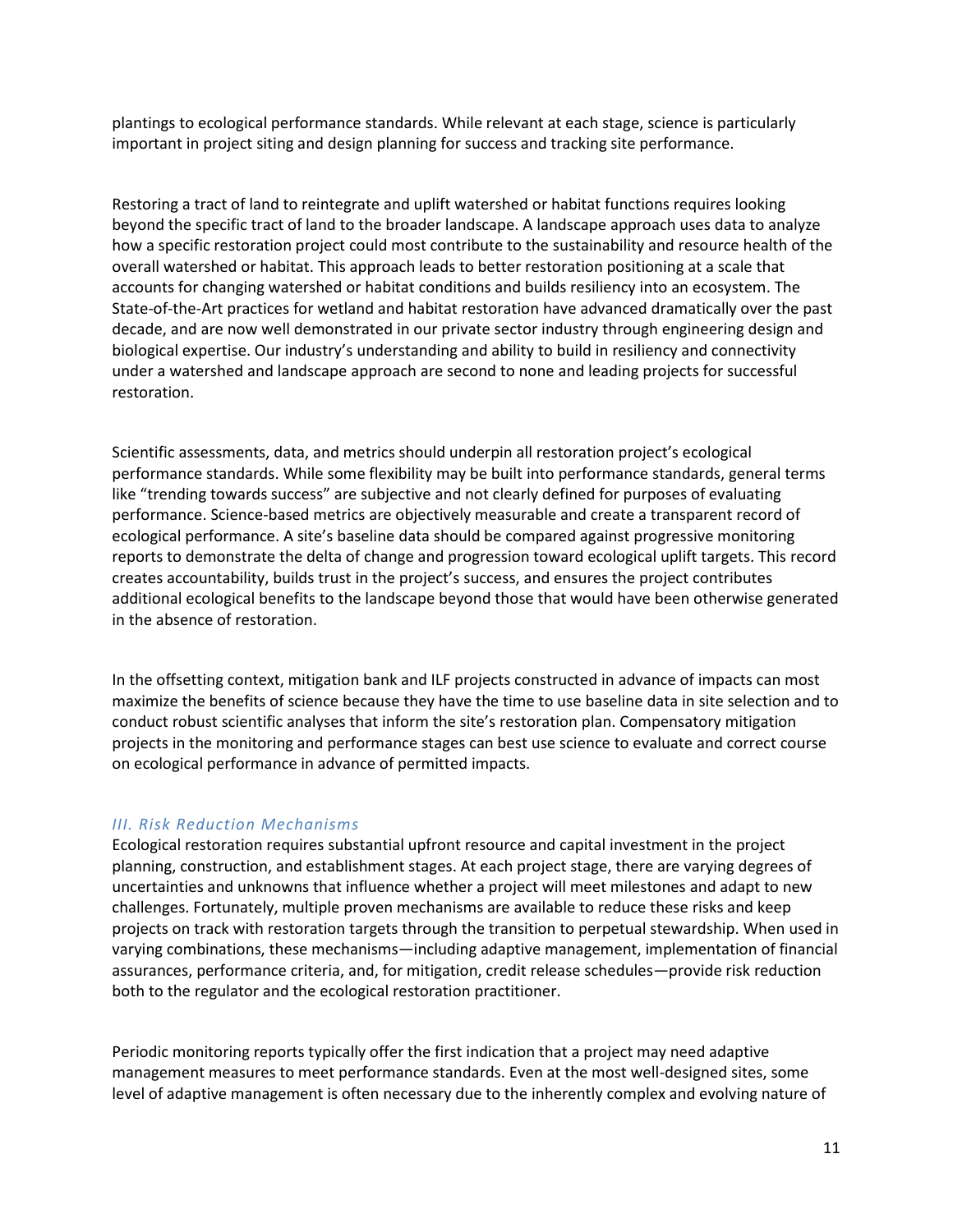plantings to ecological performance standards. While relevant at each stage, science is particularly important in project siting and design planning for success and tracking site performance.

Restoring a tract of land to reintegrate and uplift watershed or habitat functions requires looking beyond the specific tract of land to the broader landscape. A landscape approach uses data to analyze how a specific restoration project could most contribute to the sustainability and resource health of the overall watershed or habitat. This approach leads to better restoration positioning at a scale that accounts for changing watershed or habitat conditions and builds resiliency into an ecosystem. The State-of-the-Art practices for wetland and habitat restoration have advanced dramatically over the past decade, and are now well demonstrated in our private sector industry through engineering design and biological expertise. Our industry's understanding and ability to build in resiliency and connectivity under a watershed and landscape approach are second to none and leading projects for successful restoration.

Scientific assessments, data, and metrics should underpin all restoration project's ecological performance standards. While some flexibility may be built into performance standards, general terms like "trending towards success" are subjective and not clearly defined for purposes of evaluating performance. Science-based metrics are objectively measurable and create a transparent record of ecological performance. A site's baseline data should be compared against progressive monitoring reports to demonstrate the delta of change and progression toward ecological uplift targets. This record creates accountability, builds trust in the project's success, and ensures the project contributes additional ecological benefits to the landscape beyond those that would have been otherwise generated in the absence of restoration.

In the offsetting context, mitigation bank and ILF projects constructed in advance of impacts can most maximize the benefits of science because they have the time to use baseline data in site selection and to conduct robust scientific analyses that inform the site's restoration plan. Compensatory mitigation projects in the monitoring and performance stages can best use science to evaluate and correct course on ecological performance in advance of permitted impacts.

## *III. Risk Reduction Mechanisms*

Ecological restoration requires substantial upfront resource and capital investment in the project planning, construction, and establishment stages. At each project stage, there are varying degrees of uncertainties and unknowns that influence whether a project will meet milestones and adapt to new challenges. Fortunately, multiple proven mechanisms are available to reduce these risks and keep projects on track with restoration targets through the transition to perpetual stewardship. When used in varying combinations, these mechanisms—including adaptive management, implementation of financial assurances, performance criteria, and, for mitigation, credit release schedules—provide risk reduction both to the regulator and the ecological restoration practitioner.

Periodic monitoring reports typically offer the first indication that a project may need adaptive management measures to meet performance standards. Even at the most well-designed sites, some level of adaptive management is often necessary due to the inherently complex and evolving nature of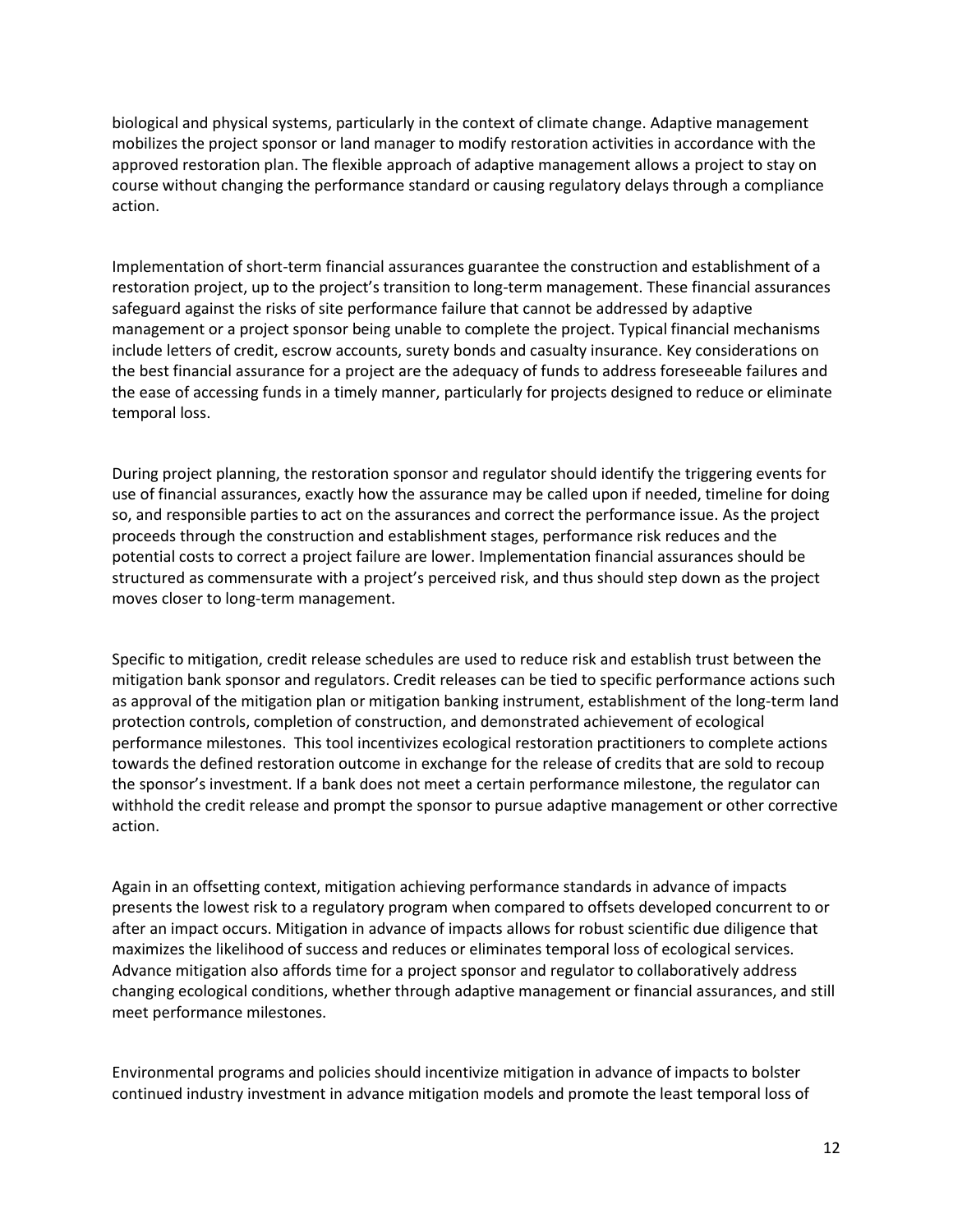biological and physical systems, particularly in the context of climate change. Adaptive management mobilizes the project sponsor or land manager to modify restoration activities in accordance with the approved restoration plan. The flexible approach of adaptive management allows a project to stay on course without changing the performance standard or causing regulatory delays through a compliance action.

Implementation of short-term financial assurances guarantee the construction and establishment of a restoration project, up to the project's transition to long-term management. These financial assurances safeguard against the risks of site performance failure that cannot be addressed by adaptive management or a project sponsor being unable to complete the project. Typical financial mechanisms include letters of credit, escrow accounts, surety bonds and casualty insurance. Key considerations on the best financial assurance for a project are the adequacy of funds to address foreseeable failures and the ease of accessing funds in a timely manner, particularly for projects designed to reduce or eliminate temporal loss.

During project planning, the restoration sponsor and regulator should identify the triggering events for use of financial assurances, exactly how the assurance may be called upon if needed, timeline for doing so, and responsible parties to act on the assurances and correct the performance issue. As the project proceeds through the construction and establishment stages, performance risk reduces and the potential costs to correct a project failure are lower. Implementation financial assurances should be structured as commensurate with a project's perceived risk, and thus should step down as the project moves closer to long-term management.

Specific to mitigation, credit release schedules are used to reduce risk and establish trust between the mitigation bank sponsor and regulators. Credit releases can be tied to specific performance actions such as approval of the mitigation plan or mitigation banking instrument, establishment of the long-term land protection controls, completion of construction, and demonstrated achievement of ecological performance milestones. This tool incentivizes ecological restoration practitioners to complete actions towards the defined restoration outcome in exchange for the release of credits that are sold to recoup the sponsor's investment. If a bank does not meet a certain performance milestone, the regulator can withhold the credit release and prompt the sponsor to pursue adaptive management or other corrective action.

Again in an offsetting context, mitigation achieving performance standards in advance of impacts presents the lowest risk to a regulatory program when compared to offsets developed concurrent to or after an impact occurs. Mitigation in advance of impacts allows for robust scientific due diligence that maximizes the likelihood of success and reduces or eliminates temporal loss of ecological services. Advance mitigation also affords time for a project sponsor and regulator to collaboratively address changing ecological conditions, whether through adaptive management or financial assurances, and still meet performance milestones.

Environmental programs and policies should incentivize mitigation in advance of impacts to bolster continued industry investment in advance mitigation models and promote the least temporal loss of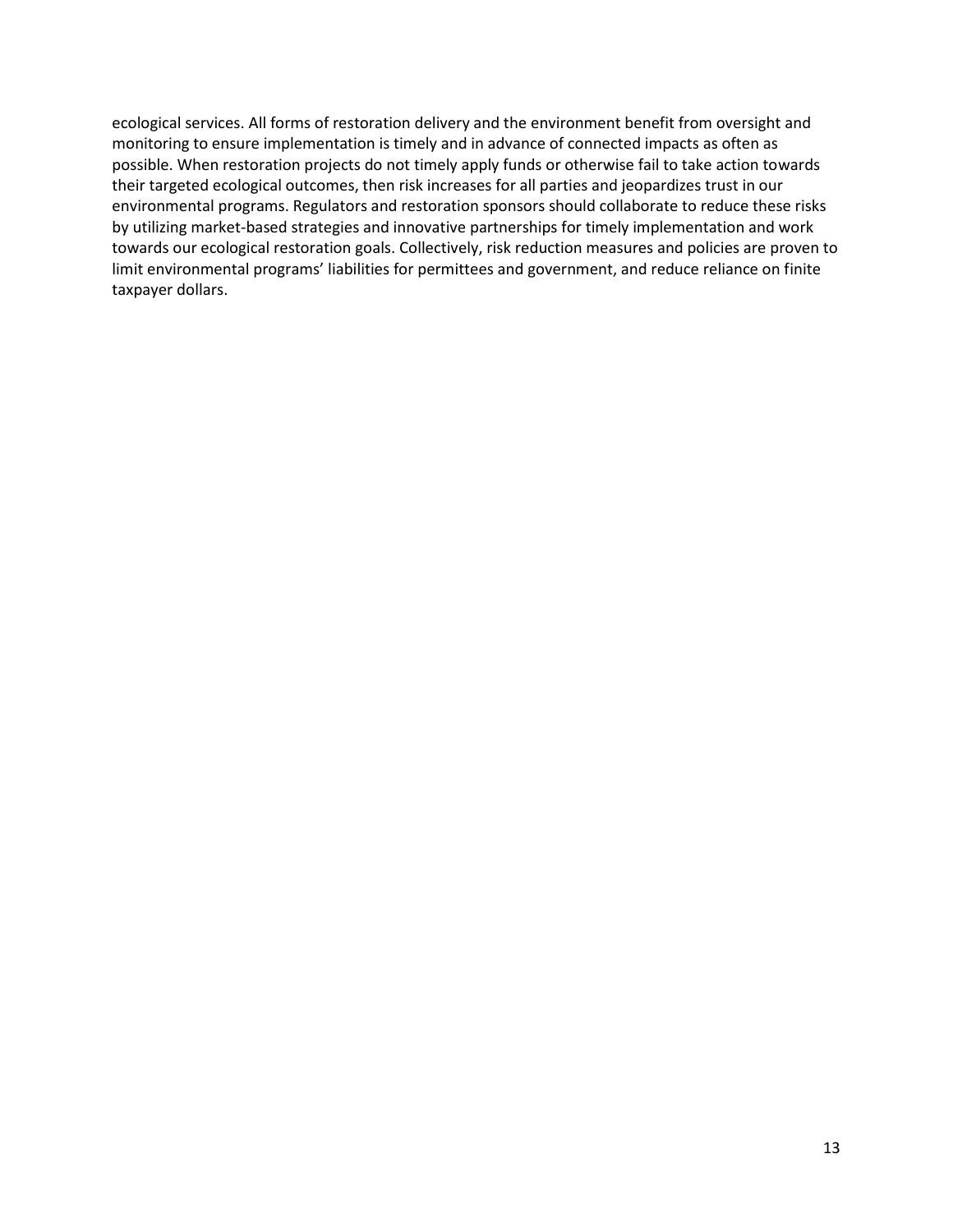ecological services. All forms of restoration delivery and the environment benefit from oversight and monitoring to ensure implementation is timely and in advance of connected impacts as often as possible. When restoration projects do not timely apply funds or otherwise fail to take action towards their targeted ecological outcomes, then risk increases for all parties and jeopardizes trust in our environmental programs. Regulators and restoration sponsors should collaborate to reduce these risks by utilizing market-based strategies and innovative partnerships for timely implementation and work towards our ecological restoration goals. Collectively, risk reduction measures and policies are proven to limit environmental programs' liabilities for permittees and government, and reduce reliance on finite taxpayer dollars.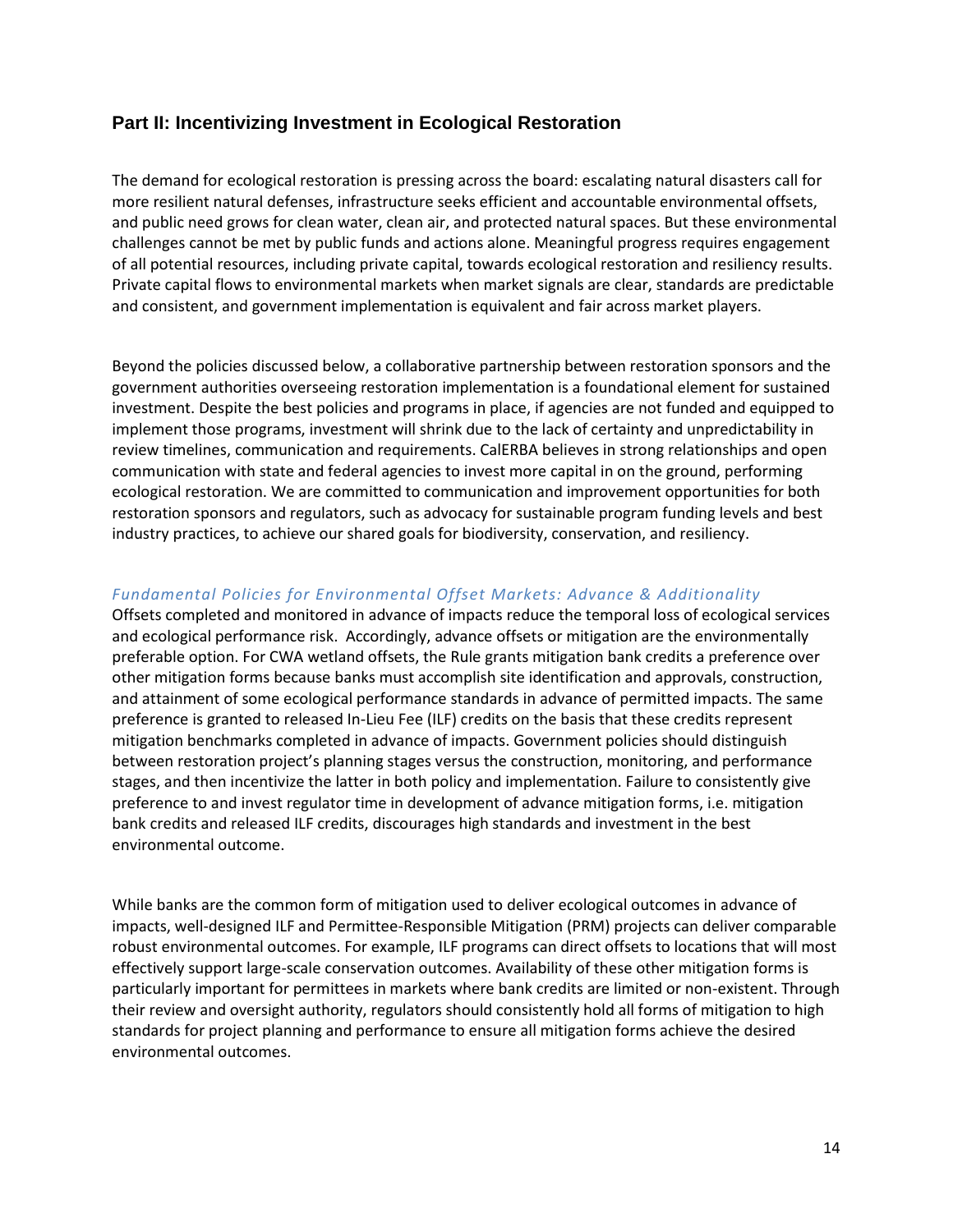## **Part II: Incentivizing Investment in Ecological Restoration**

The demand for ecological restoration is pressing across the board: escalating natural disasters call for more resilient natural defenses, infrastructure seeks efficient and accountable environmental offsets, and public need grows for clean water, clean air, and protected natural spaces. But these environmental challenges cannot be met by public funds and actions alone. Meaningful progress requires engagement of all potential resources, including private capital, towards ecological restoration and resiliency results. Private capital flows to environmental markets when market signals are clear, standards are predictable and consistent, and government implementation is equivalent and fair across market players.

Beyond the policies discussed below, a collaborative partnership between restoration sponsors and the government authorities overseeing restoration implementation is a foundational element for sustained investment. Despite the best policies and programs in place, if agencies are not funded and equipped to implement those programs, investment will shrink due to the lack of certainty and unpredictability in review timelines, communication and requirements. CalERBA believes in strong relationships and open communication with state and federal agencies to invest more capital in on the ground, performing ecological restoration. We are committed to communication and improvement opportunities for both restoration sponsors and regulators, such as advocacy for sustainable program funding levels and best industry practices, to achieve our shared goals for biodiversity, conservation, and resiliency.

## *Fundamental Policies for Environmental Offset Markets: Advance & Additionality*

Offsets completed and monitored in advance of impacts reduce the temporal loss of ecological services and ecological performance risk. Accordingly, advance offsets or mitigation are the environmentally preferable option. For CWA wetland offsets, the Rule grants mitigation bank credits a preference over other mitigation forms because banks must accomplish site identification and approvals, construction, and attainment of some ecological performance standards in advance of permitted impacts. The same preference is granted to released In-Lieu Fee (ILF) credits on the basis that these credits represent mitigation benchmarks completed in advance of impacts. Government policies should distinguish between restoration project's planning stages versus the construction, monitoring, and performance stages, and then incentivize the latter in both policy and implementation. Failure to consistently give preference to and invest regulator time in development of advance mitigation forms, i.e. mitigation bank credits and released ILF credits, discourages high standards and investment in the best environmental outcome.

While banks are the common form of mitigation used to deliver ecological outcomes in advance of impacts, well-designed ILF and Permittee-Responsible Mitigation (PRM) projects can deliver comparable robust environmental outcomes. For example, ILF programs can direct offsets to locations that will most effectively support large-scale conservation outcomes. Availability of these other mitigation forms is particularly important for permittees in markets where bank credits are limited or non-existent. Through their review and oversight authority, regulators should consistently hold all forms of mitigation to high standards for project planning and performance to ensure all mitigation forms achieve the desired environmental outcomes.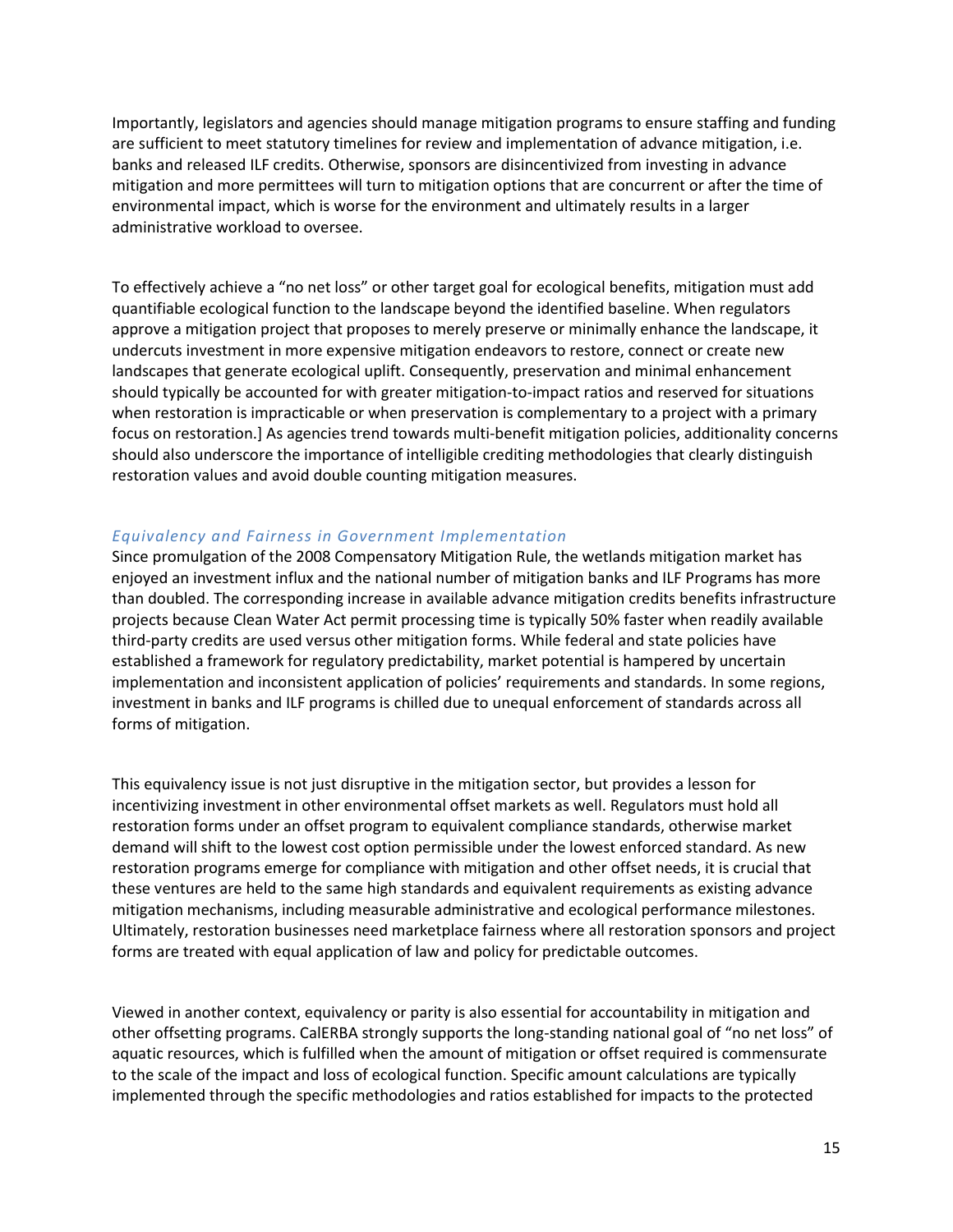Importantly, legislators and agencies should manage mitigation programs to ensure staffing and funding are sufficient to meet statutory timelines for review and implementation of advance mitigation, i.e. banks and released ILF credits. Otherwise, sponsors are disincentivized from investing in advance mitigation and more permittees will turn to mitigation options that are concurrent or after the time of environmental impact, which is worse for the environment and ultimately results in a larger administrative workload to oversee.

To effectively achieve a "no net loss" or other target goal for ecological benefits, mitigation must add quantifiable ecological function to the landscape beyond the identified baseline. When regulators approve a mitigation project that proposes to merely preserve or minimally enhance the landscape, it undercuts investment in more expensive mitigation endeavors to restore, connect or create new landscapes that generate ecological uplift. Consequently, preservation and minimal enhancement should typically be accounted for with greater mitigation-to-impact ratios and reserved for situations when restoration is impracticable or when preservation is complementary to a project with a primary focus on restoration.] As agencies trend towards multi-benefit mitigation policies, additionality concerns should also underscore the importance of intelligible crediting methodologies that clearly distinguish restoration values and avoid double counting mitigation measures.

### *Equivalency and Fairness in Government Implementation*

Since promulgation of the 2008 Compensatory Mitigation Rule, the wetlands mitigation market has enjoyed an investment influx and the national number of mitigation banks and ILF Programs has more than doubled. The corresponding increase in available advance mitigation credits benefits infrastructure projects because Clean Water Act permit processing time is typically 50% faster when readily available third-party credits are used versus other mitigation forms. While federal and state policies have established a framework for regulatory predictability, market potential is hampered by uncertain implementation and inconsistent application of policies' requirements and standards. In some regions, investment in banks and ILF programs is chilled due to unequal enforcement of standards across all forms of mitigation.

This equivalency issue is not just disruptive in the mitigation sector, but provides a lesson for incentivizing investment in other environmental offset markets as well. Regulators must hold all restoration forms under an offset program to equivalent compliance standards, otherwise market demand will shift to the lowest cost option permissible under the lowest enforced standard. As new restoration programs emerge for compliance with mitigation and other offset needs, it is crucial that these ventures are held to the same high standards and equivalent requirements as existing advance mitigation mechanisms, including measurable administrative and ecological performance milestones. Ultimately, restoration businesses need marketplace fairness where all restoration sponsors and project forms are treated with equal application of law and policy for predictable outcomes.

Viewed in another context, equivalency or parity is also essential for accountability in mitigation and other offsetting programs. CalERBA strongly supports the long-standing national goal of "no net loss" of aquatic resources, which is fulfilled when the amount of mitigation or offset required is commensurate to the scale of the impact and loss of ecological function. Specific amount calculations are typically implemented through the specific methodologies and ratios established for impacts to the protected